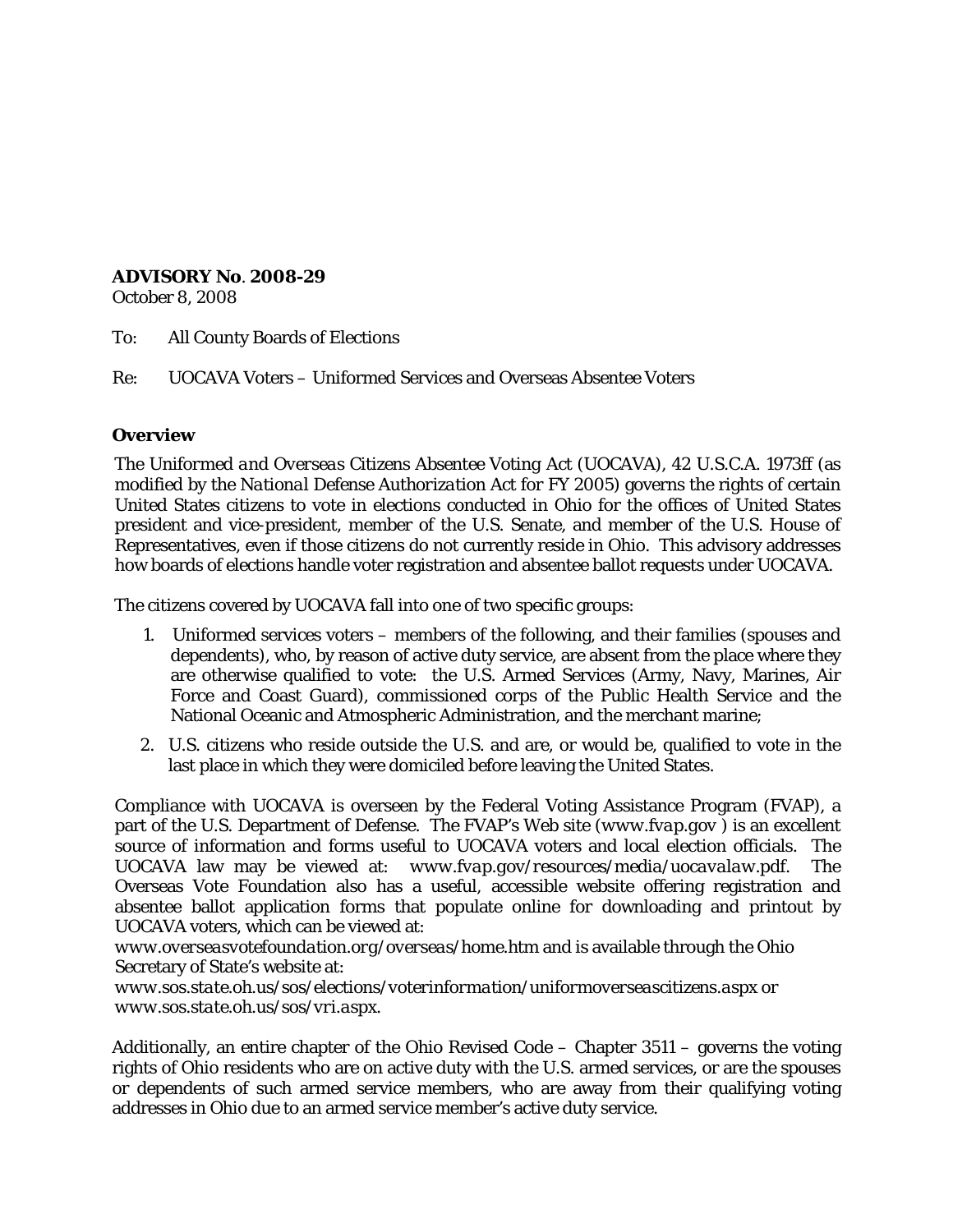# **ADVISORY No**. **2008-29**

October 8, 2008

To: All County Boards of Elections

Re: UOCAVA Voters – Uniformed Services and Overseas Absentee Voters

## **Overview**

The *Uniformed and Overseas Citizens Absentee Voting Act* (UOCAVA), 42 U.S.C.A. 1973ff (as modified by the *National Defense Authorization Act for FY 2005*) governs the rights of certain United States citizens to vote in elections conducted in Ohio for the offices of United States president and vice-president, member of the U.S. Senate, and member of the U.S. House of Representatives, even if those citizens do not currently reside in Ohio. This advisory addresses how boards of elections handle voter registration and absentee ballot requests under UOCAVA.

The citizens covered by UOCAVA fall into one of two specific groups:

- 1. Uniformed services voters members of the following, and their families (spouses and dependents), who, by reason of active duty service, are absent from the place where they are otherwise qualified to vote: the U.S. Armed Services (Army, Navy, Marines, Air Force and Coast Guard), commissioned corps of the Public Health Service and the National Oceanic and Atmospheric Administration, and the merchant marine;
- 2. U.S. citizens who reside outside the U.S. and are, or would be, qualified to vote in the last place in which they were domiciled before leaving the United States.

Compliance with UOCAVA is overseen by the Federal Voting Assistance Program (FVAP), a part of the U.S. Department of Defense. The FVAP's Web site (*[www.fvap.gov](http://www.fvap.gov/)* ) is an excellent source of information and forms useful to UOCAVA voters and local election officials. The UOCAVA law may be viewed at: *[www.fvap.gov/resources/media/uocavalaw.pdf](http://www.fvap.gov/resources/media/uocavalaw.pdf)*. The Overseas Vote Foundation also has a useful, accessible website offering registration and absentee ballot application forms that populate online for downloading and printout by UOCAVA voters, which can be viewed at:

*[www.overseasvotefoundation.org/overseas/home.htm](http://www.overseasvotefoundation.org/overseas/home.htm)* and is available through the Ohio Secretary of State's website at:

*www.sos.state.oh.us/sos/elections/voterinformation/uniformoverseascitizens.aspx* or *www.sos.state.oh.us/sos/vri.aspx.*

Additionally, an entire chapter of the Ohio Revised Code – Chapter 3511 – governs the voting rights of Ohio residents who are on active duty with the U.S. armed services, or are the spouses or dependents of such armed service members, who are away from their qualifying voting addresses in Ohio due to an armed service member's active duty service.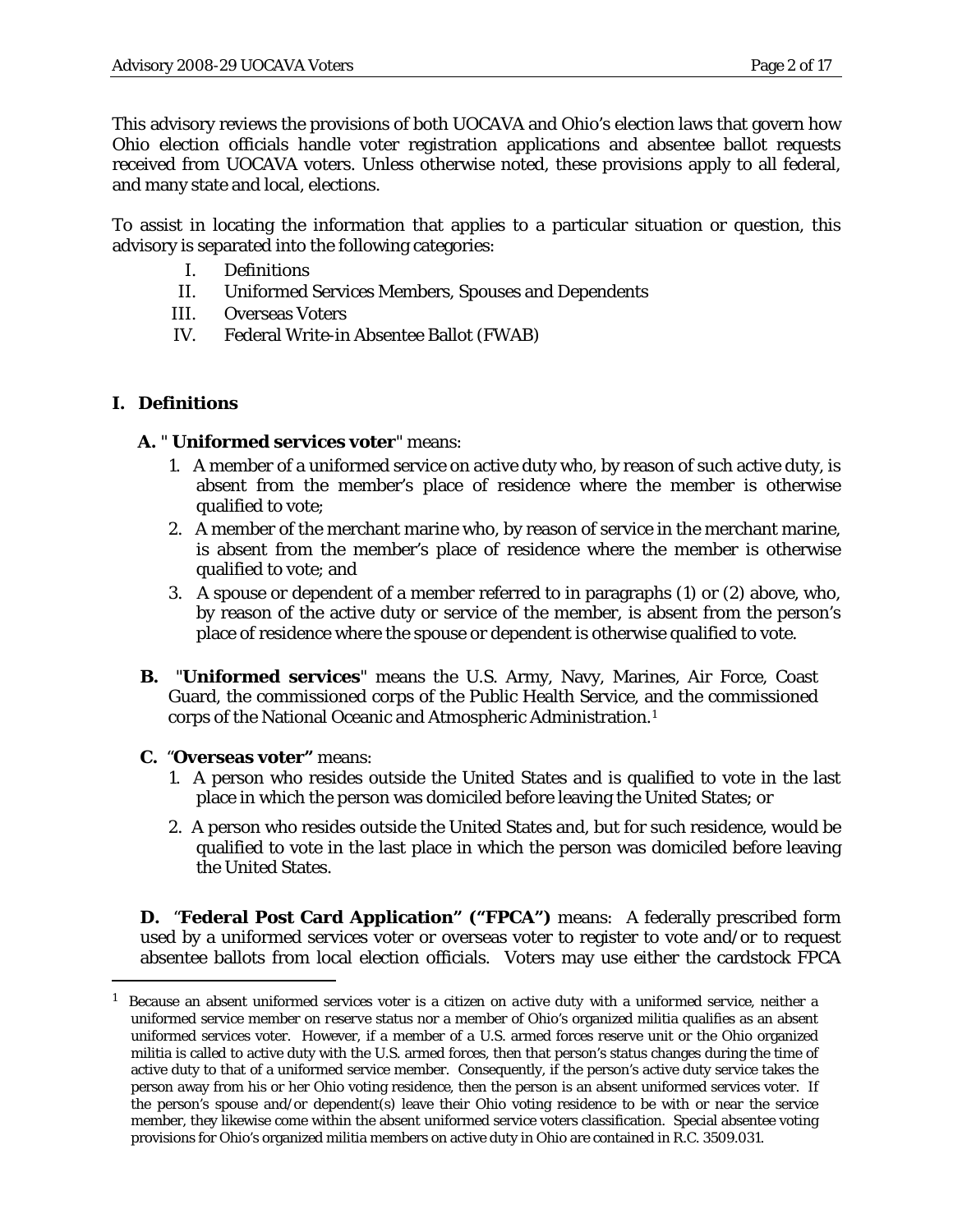This advisory reviews the provisions of both UOCAVA and Ohio's election laws that govern how Ohio election officials handle voter registration applications and absentee ballot requests received from UOCAVA voters. Unless otherwise noted, these provisions apply to all federal, and many state and local, elections.

To assist in locating the information that applies to a particular situation or question, this advisory is separated into the following categories:

- I. Definitions
- II. Uniformed Services Members, Spouses and Dependents
- III. Overseas Voters
- IV. Federal Write-in Absentee Ballot (FWAB)

# **I. Definitions**

Ĩ.

## **A.** " **Uniformed services voter**" means:

- 1. A member of a uniformed service on active duty who, by reason of such active duty, is absent from the member's place of residence where the member is otherwise qualified to vote;
- 2. A member of the merchant marine who, by reason of service in the merchant marine, is absent from the member's place of residence where the member is otherwise qualified to vote; and
- 3. A spouse or dependent of a member referred to in paragraphs (1) or (2) above, who, by reason of the active duty or service of the member, is absent from the person's place of residence where the spouse or dependent is otherwise qualified to vote.
- **B.** "**Uniformed services**" means the U.S. Army, Navy, Marines, Air Force, Coast Guard, the commissioned corps of the Public Health Service, and the commissioned corps of the National Oceanic and Atmospheric Administration.[1](#page-1-0)
- **C.** "**Overseas voter"** means:
	- 1. A person who resides outside the United States and is qualified to vote in the last place in which the person was domiciled before leaving the United States; or
	- 2. A person who resides outside the United States and, but for such residence, would be qualified to vote in the last place in which the person was domiciled before leaving the United States.

**D.** "**Federal Post Card Application" ("FPCA")** means*:* A federally prescribed form used by a uniformed services voter or overseas voter to register to vote and/or to request absentee ballots from local election officials. Voters may use either the cardstock FPCA

<span id="page-1-0"></span><sup>1</sup> Because an absent uniformed services voter is a citizen on *active duty* with a *uniformed service*, neither a uniformed service member on *reserve* status nor a member of Ohio's organized militia qualifies as an absent uniformed services voter. However, if a member of a U.S. armed forces reserve unit or the Ohio organized militia is called to active duty with the U.S. armed forces, then that person's status changes during the time of active duty to that of a uniformed service member. Consequently, if the person's active duty service takes the person away from his or her Ohio voting residence, then the person is an absent uniformed services voter. If the person's spouse and/or dependent(s) leave their Ohio voting residence to be with or near the service member, they likewise come within the absent uniformed service voters classification. Special absentee voting provisions for Ohio's organized militia members on active duty in Ohio are contained in R.C. 3509.031.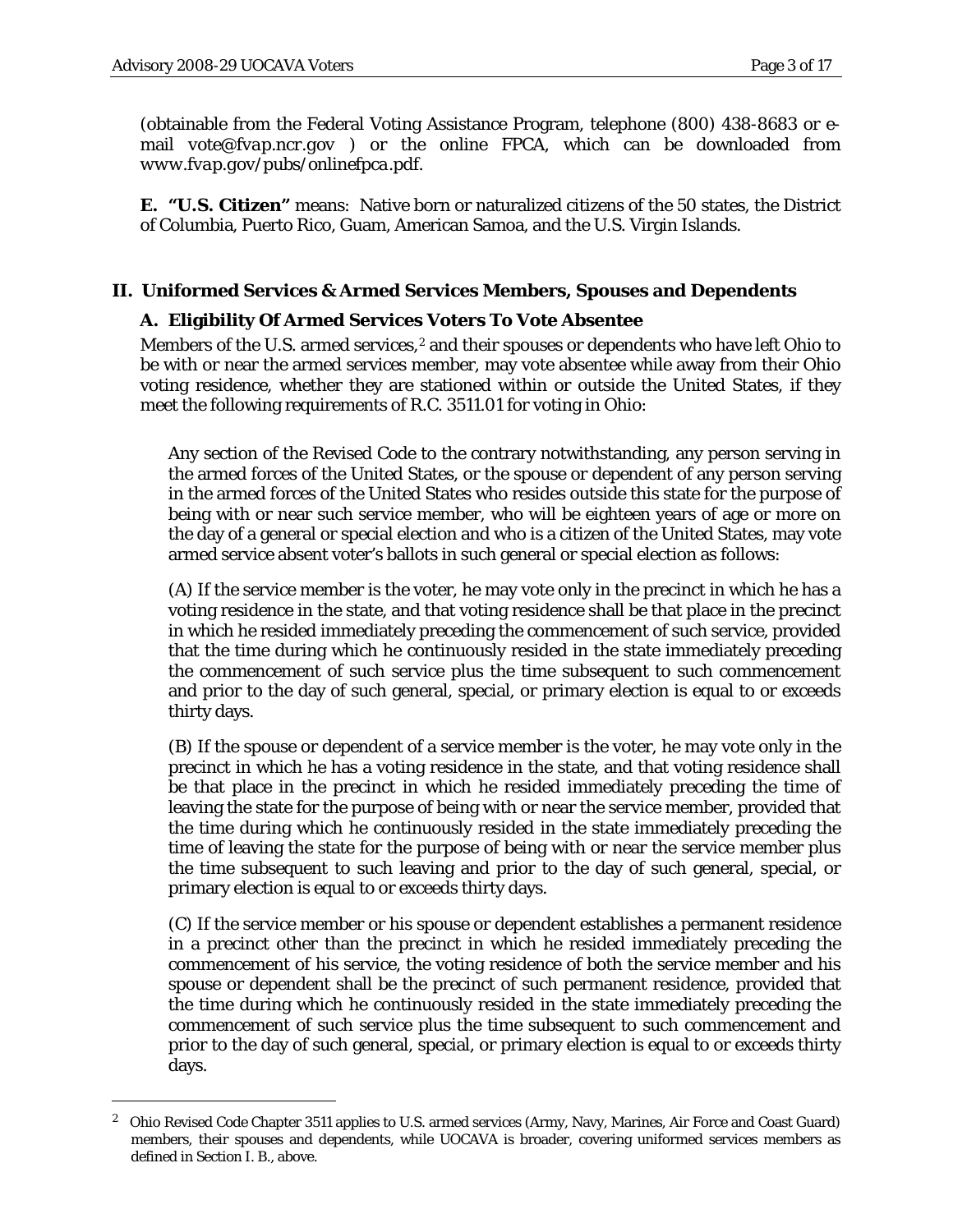Ĩ.

(obtainable from the Federal Voting Assistance Program, telephone (800) 438-8683 or email *[vote@fvap.ncr.gov](mailto:vote@fvap.ncr.gov)* ) or the online FPCA, which can be downloaded from *www.fvap.gov/pubs/onlinefpca.pdf*.

**E. "U.S. Citizen"** means: Native born or naturalized citizens of the 50 states, the District of Columbia, Puerto Rico, Guam, American Samoa, and the U.S. Virgin Islands.

### **II. Uniformed Services & Armed Services Members, Spouses and Dependents**

### **A. Eligibility Of Armed Services Voters To Vote Absentee**

Members of the U.S. armed services, $2$  and their spouses or dependents who have left Ohio to be with or near the armed services member, may vote absentee while away from their Ohio voting residence, whether they are stationed within or outside the United States, if they meet the following requirements of R.C. 3511.01 for voting in Ohio:

Any section of the Revised Code to the contrary notwithstanding, any person serving in the armed forces of the United States, or the spouse or dependent of any person serving in the armed forces of the United States who resides outside this state for the purpose of being with or near such service member, who will be eighteen years of age or more on the day of a general or special election and who is a citizen of the United States, may vote armed service absent voter's ballots in such general or special election as follows:

(A) If the service member is the voter, he may vote only in the precinct in which he has a voting residence in the state, and that voting residence shall be that place in the precinct in which he resided immediately preceding the commencement of such service, provided that the time during which he continuously resided in the state immediately preceding the commencement of such service plus the time subsequent to such commencement and prior to the day of such general, special, or primary election is equal to or exceeds thirty days.

(B) If the spouse or dependent of a service member is the voter, he may vote only in the precinct in which he has a voting residence in the state, and that voting residence shall be that place in the precinct in which he resided immediately preceding the time of leaving the state for the purpose of being with or near the service member, provided that the time during which he continuously resided in the state immediately preceding the time of leaving the state for the purpose of being with or near the service member plus the time subsequent to such leaving and prior to the day of such general, special, or primary election is equal to or exceeds thirty days.

(C) If the service member or his spouse or dependent establishes a permanent residence in a precinct other than the precinct in which he resided immediately preceding the commencement of his service, the voting residence of both the service member and his spouse or dependent shall be the precinct of such permanent residence, provided that the time during which he continuously resided in the state immediately preceding the commencement of such service plus the time subsequent to such commencement and prior to the day of such general, special, or primary election is equal to or exceeds thirty days.

<span id="page-2-0"></span><sup>2</sup> Ohio Revised Code Chapter 3511 applies to U.S. armed services (Army, Navy, Marines, Air Force and Coast Guard) members, their spouses and dependents, while UOCAVA is broader, covering uniformed services members as defined in Section I. B., above.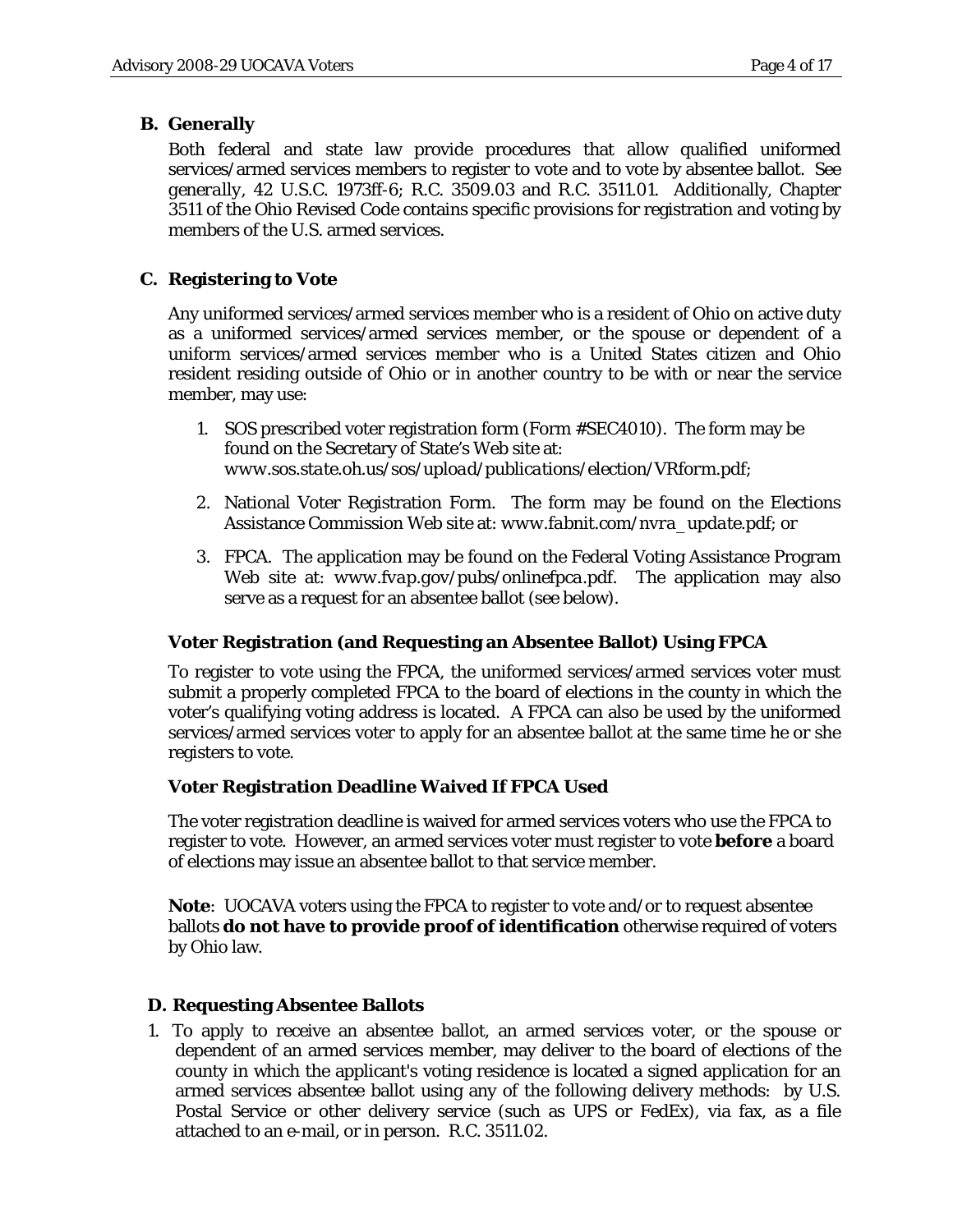# **B. Generally**

Both federal and state law provide procedures that allow qualified uniformed services/armed services members to register to vote and to vote by absentee ballot. *See generally*, 42 U.S.C. 1973ff-6; R.C. 3509.03 and R.C. 3511.01. Additionally, Chapter 3511 of the Ohio Revised Code contains specific provisions for registration and voting by members of the U.S. armed services.

# **C. Registering to Vote**

Any uniformed services/armed services member who is a resident of Ohio on active duty as a uniformed services/armed services member, or the spouse or dependent of a uniform services/armed services member who is a United States citizen and Ohio resident residing outside of Ohio or in another country to be with or near the service member, may use:

- 1. SOS prescribed voter registration form (Form #SEC4010). The form may be found on the Secretary of State's Web site at: *[www.sos.state.oh.us/sos/upload/publications/election/VRform.pdf;](file:///C:%5CDocuments%20and%20Settings%5Cbshinn%5CLocal%20Settings%5CTemporary%20Internet%20Files%5CContent.Outlook%5CLocal%20Settings%5CTemporary%20Internet%20Files%5Cpwolfe%5CLocal%20Settings%5CTemporary%20Internet%20Files%5CContent.Outlook%5CENDKHMUG%5Cwww.sos.state.oh.us%5Csos%5Cupload%5Cpublications%5Celection%5CVRform.pdf)*
- 2. National Voter Registration Form. The form may be found on the Elections Assistance Commission Web site at: *www.fabnit.com/nvra\_update.pdf*; or
- 3. FPCA. The application may be found on the Federal Voting Assistance Program Web site at: *www.fvap.gov/pubs/onlinefpca.pdf*. The application may also serve as a request for an absentee ballot (see below).

# **Voter Registration (and Requesting an Absentee Ballot) Using FPCA**

To register to vote using the FPCA, the uniformed services/armed services voter must submit a properly completed FPCA to the board of elections in the county in which the voter's qualifying voting address is located. A FPCA can also be used by the uniformed services/armed services voter to apply for an absentee ballot at the same time he or she registers to vote.

# **Voter Registration Deadline Waived If FPCA Used**

The voter registration deadline is waived for armed services voters who use the FPCA to register to vote. However, an armed services voter must register to vote **before** a board of elections may issue an absentee ballot to that service member.

**Note**: UOCAVA voters using the FPCA to register to vote and/or to request absentee ballots **do not have to provide proof of identification** otherwise required of voters by Ohio law.

# **D. Requesting Absentee Ballots**

1. To apply to receive an absentee ballot, an armed services voter, or the spouse or dependent of an armed services member, may deliver to the board of elections of the county in which the applicant's voting residence is located a signed application for an armed services absentee ballot using any of the following delivery methods: by U.S. Postal Service or other delivery service (such as UPS or FedEx), via fax, as a file attached to an e-mail, or in person. R.C. 3511.02.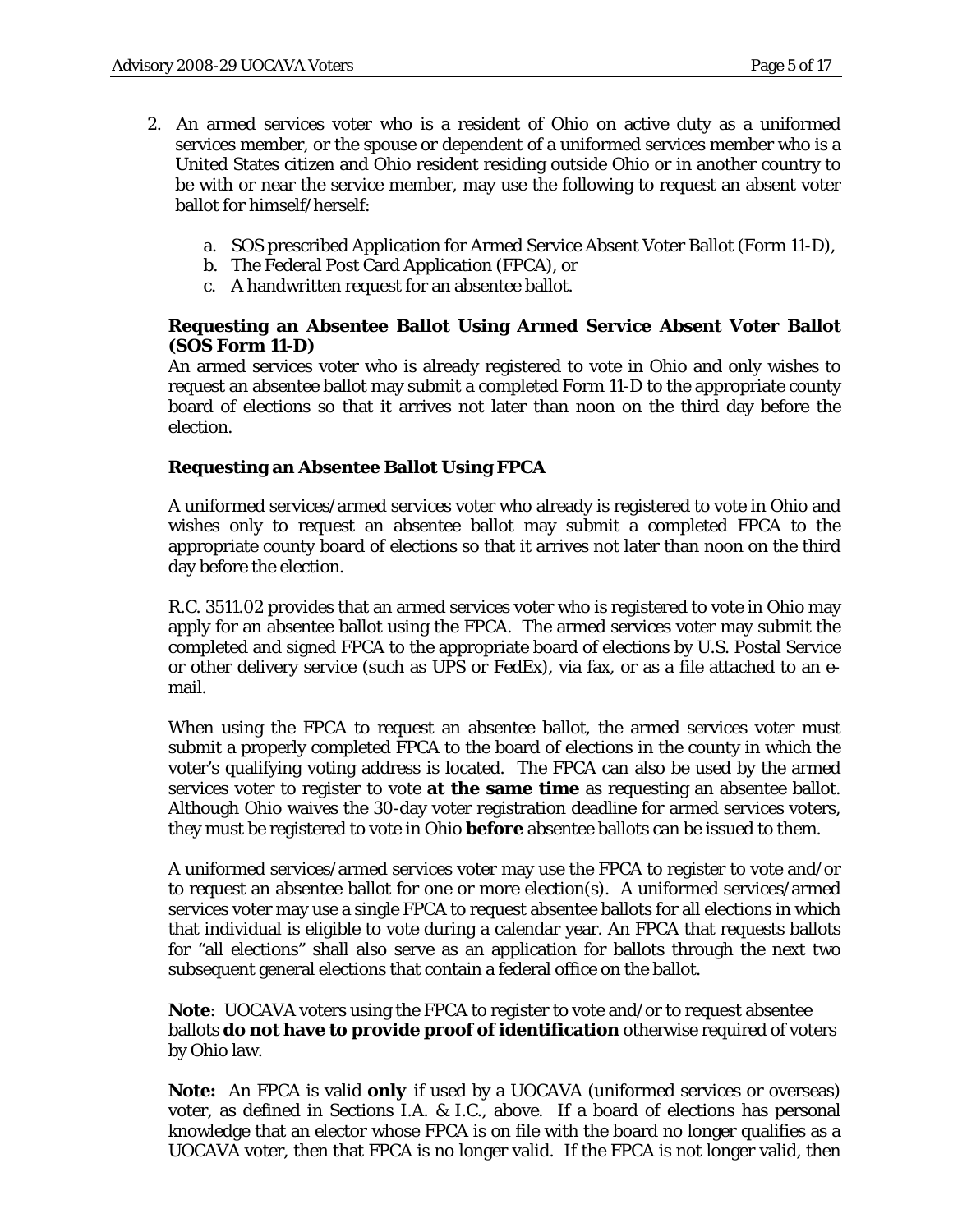- 2. An armed services voter who is a resident of Ohio on active duty as a uniformed services member, or the spouse or dependent of a uniformed services member who is a United States citizen and Ohio resident residing outside Ohio or in another country to be with or near the service member, may use the following to request an absent voter ballot for himself/herself:
	- a. SOS prescribed Application for Armed Service Absent Voter Ballot (Form 11-D),
	- b. The Federal Post Card Application (FPCA), or
	- c. A handwritten request for an absentee ballot.

### **Requesting an Absentee Ballot Using Armed Service Absent Voter Ballot (SOS Form 11-D)**

An armed services voter who is already registered to vote in Ohio and only wishes to request an absentee ballot may submit a completed Form 11-D to the appropriate county board of elections so that it arrives not later than noon on the third day before the election.

### **Requesting an Absentee Ballot Using FPCA**

A uniformed services/armed services voter who already is registered to vote in Ohio and wishes only to request an absentee ballot may submit a completed FPCA to the appropriate county board of elections so that it arrives not later than noon on the third day before the election.

R.C. 3511.02 provides that an armed services voter who is registered to vote in Ohio may apply for an absentee ballot using the FPCA. The armed services voter may submit the completed and signed FPCA to the appropriate board of elections by U.S. Postal Service or other delivery service (such as UPS or FedEx), via fax, or as a file attached to an email.

When using the FPCA to request an absentee ballot, the armed services voter must submit a properly completed FPCA to the board of elections in the county in which the voter's qualifying voting address is located. The FPCA can also be used by the armed services voter to register to vote **at the same time** as requesting an absentee ballot. Although Ohio waives the 30-day voter registration deadline for armed services voters, they must be registered to vote in Ohio **before** absentee ballots can be issued to them.

A uniformed services/armed services voter may use the FPCA to register to vote and/or to request an absentee ballot for one or more election(s). A uniformed services/armed services voter may use a single FPCA to request absentee ballots for all elections in which that individual is eligible to vote during a calendar year. An FPCA that requests ballots for "all elections" shall also serve as an application for ballots through the next two subsequent general elections that contain a federal office on the ballot.

**Note**: UOCAVA voters using the FPCA to register to vote and/or to request absentee ballots **do not have to provide proof of identification** otherwise required of voters by Ohio law.

**Note:** An FPCA is valid *only* if used by a UOCAVA (uniformed services or overseas) voter, as defined in Sections I.A. & I.C., above. If a board of elections has personal knowledge that an elector whose FPCA is on file with the board no longer qualifies as a UOCAVA voter, then that FPCA is no longer valid. If the FPCA is not longer valid, then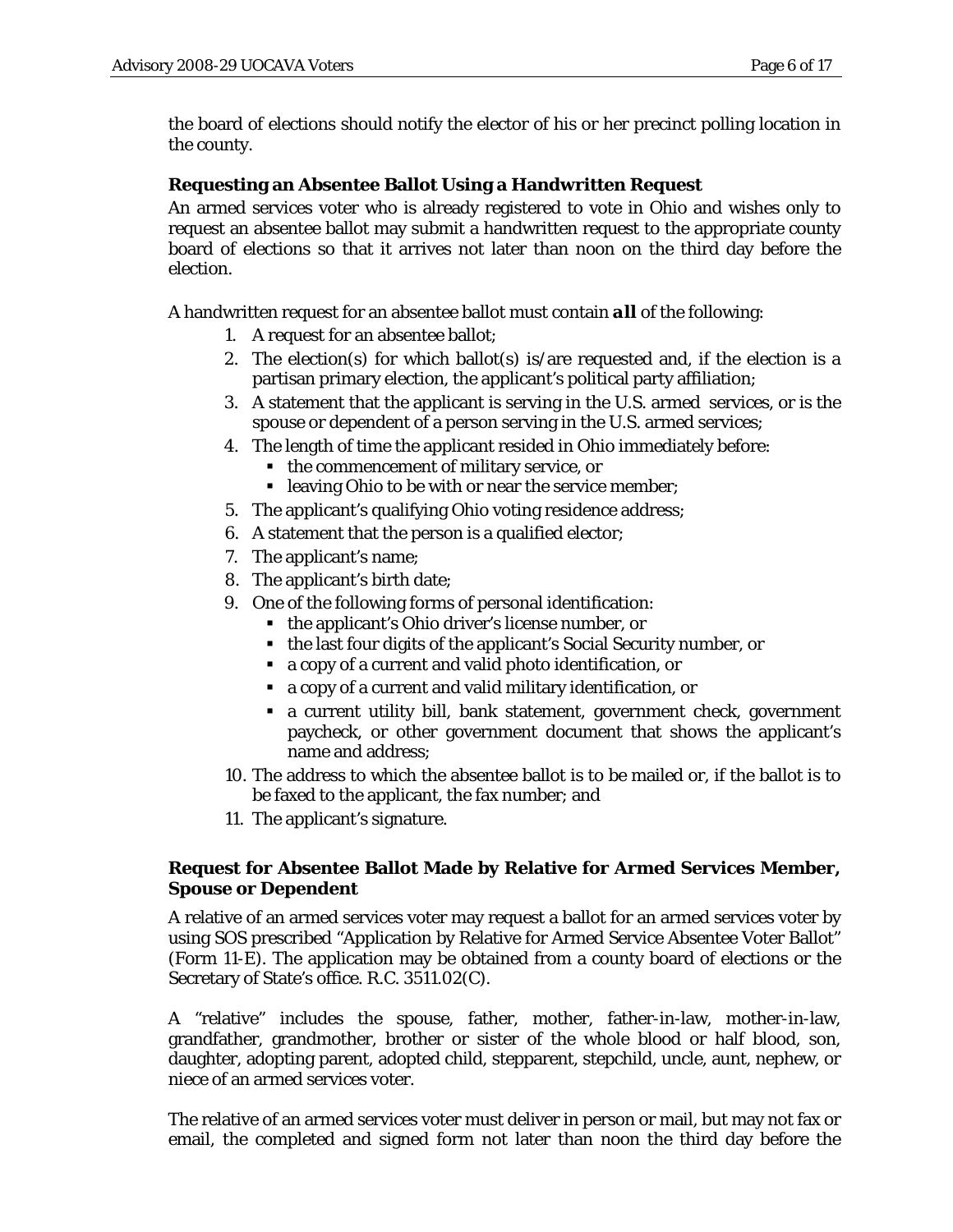the board of elections should notify the elector of his or her precinct polling location in the county.

# **Requesting an Absentee Ballot Using a Handwritten Request**

An armed services voter who is already registered to vote in Ohio and wishes only to request an absentee ballot may submit a handwritten request to the appropriate county board of elections so that it arrives not later than noon on the third day before the election.

A handwritten request for an absentee ballot must contain *all* of the following:

- 1. A request for an absentee ballot;
- 2. The election(s) for which ballot(s) is/are requested and, if the election is a partisan primary election, the applicant's political party affiliation;
- 3. A statement that the applicant is serving in the U.S. armed services, or is the spouse or dependent of a person serving in the U.S. armed services;
- 4. The length of time the applicant resided in Ohio immediately before:
	- the commencement of military service, or
	- **-** leaving Ohio to be with or near the service member;
- 5. The applicant's qualifying Ohio voting residence address;
- 6. A statement that the person is a qualified elector;
- 7. The applicant's name;
- 8. The applicant's birth date;
- 9. One of the following forms of personal identification:
	- the applicant's Ohio driver's license number, or
	- the last four digits of the applicant's Social Security number, or
	- a copy of a current and valid photo identification, or
	- a copy of a current and valid military identification, or
	- a current utility bill, bank statement, government check, government paycheck, or other government document that shows the applicant's name and address;
- 10. The address to which the absentee ballot is to be mailed or, if the ballot is to be faxed to the applicant, the fax number; and
- 11. The applicant's signature.

# **Request for Absentee Ballot Made by Relative for Armed Services Member, Spouse or Dependent**

A relative of an armed services voter may request a ballot for an armed services voter by using SOS prescribed "Application by Relative for Armed Service Absentee Voter Ballot" (Form 11-E). The application may be obtained from a county board of elections or the Secretary of State's office. R.C. 3511.02(C).

A "relative" includes the spouse, father, mother, father-in-law, mother-in-law, grandfather, grandmother, brother or sister of the whole blood or half blood, son, daughter, adopting parent, adopted child, stepparent, stepchild, uncle, aunt, nephew, or niece of an armed services voter.

The relative of an armed services voter must deliver in person or mail, but may not fax or email, the completed and signed form not later than noon the third day before the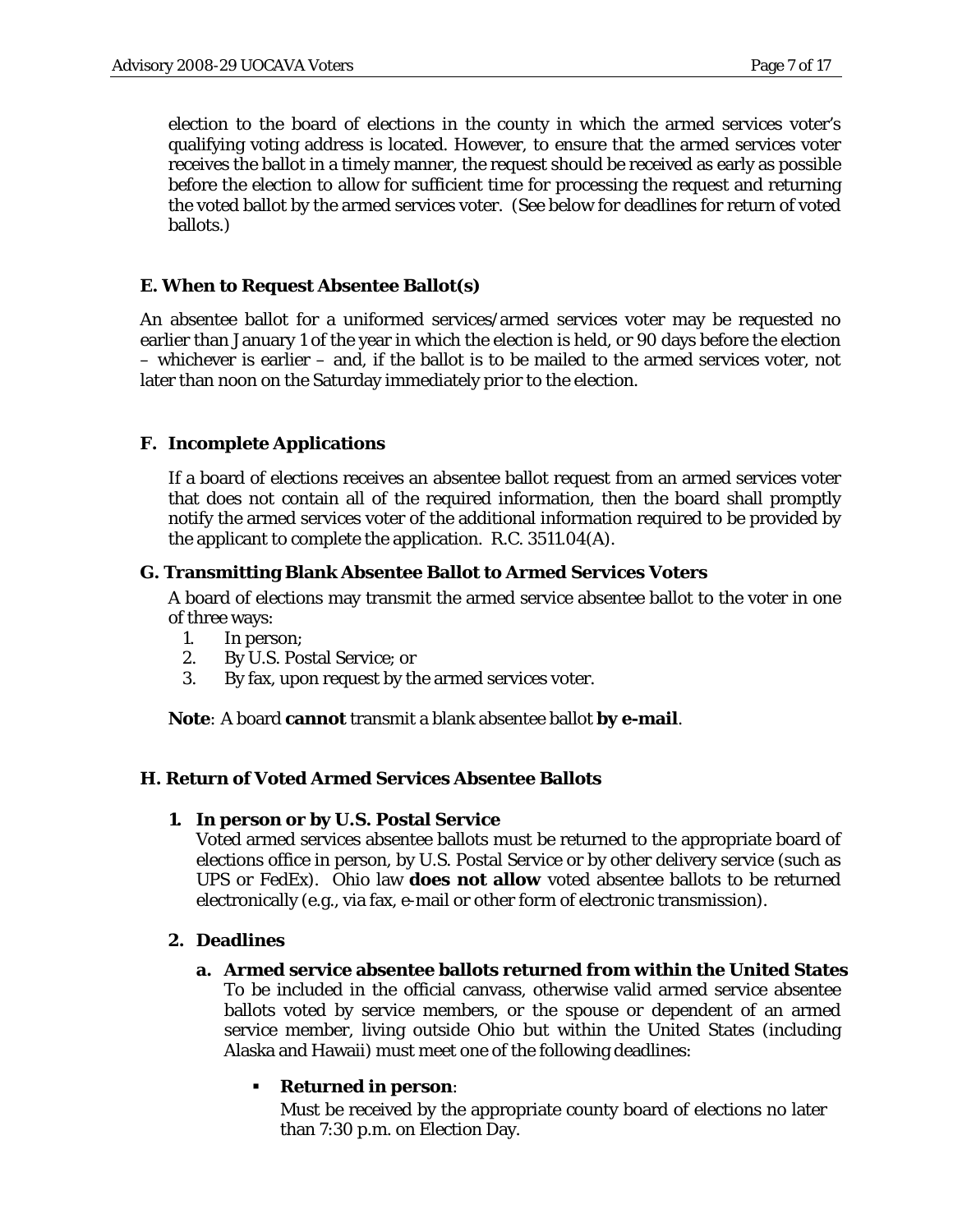election to the board of elections in the county in which the armed services voter's qualifying voting address is located. However, to ensure that the armed services voter receives the ballot in a timely manner, the request should be received as early as possible before the election to allow for sufficient time for processing the request and returning the voted ballot by the armed services voter. (See below for deadlines for return of voted ballots.)

### **E. When to Request Absentee Ballot(s)**

An absentee ballot for a uniformed services/armed services voter may be requested no earlier than January 1 of the year in which the election is held, or 90 days before the election – whichever is earlier – and, if the ballot is to be mailed to the armed services voter, not later than noon on the Saturday immediately prior to the election.

## **F. Incomplete Applications**

If a board of elections receives an absentee ballot request from an armed services voter that does not contain all of the required information, then the board shall promptly notify the armed services voter of the additional information required to be provided by the applicant to complete the application. R.C. 3511.04(A).

### **G. Transmitting Blank Absentee Ballot to Armed Services Voters**

A board of elections may transmit the armed service absentee ballot to the voter in one of three ways:

- 1. In person;
- 2. By U.S. Postal Service; or
- 3. By fax, upon request by the armed services voter.

**Note***:* A board **cannot** transmit a blank absentee ballot **by e-mail**.

#### **H. Return of Voted Armed Services Absentee Ballots**

**1. In person or by U.S. Postal Service**

Voted armed services absentee ballots must be returned to the appropriate board of elections office in person, by U.S. Postal Service or by other delivery service (such as UPS or FedEx). Ohio law **does not allow** voted absentee ballots to be returned electronically (e.g., via fax, e-mail or other form of electronic transmission).

#### **2. Deadlines**

#### **a. Armed service absentee ballots returned from within the United States**

To be included in the official canvass, otherwise valid armed service absentee ballots voted by service members, or the spouse or dependent of an armed service member, living outside Ohio but within the United States (including Alaska and Hawaii) must meet one of the following deadlines:

## **Returned in person**:

Must be received by the appropriate county board of elections no later than 7:30 p.m. on Election Day.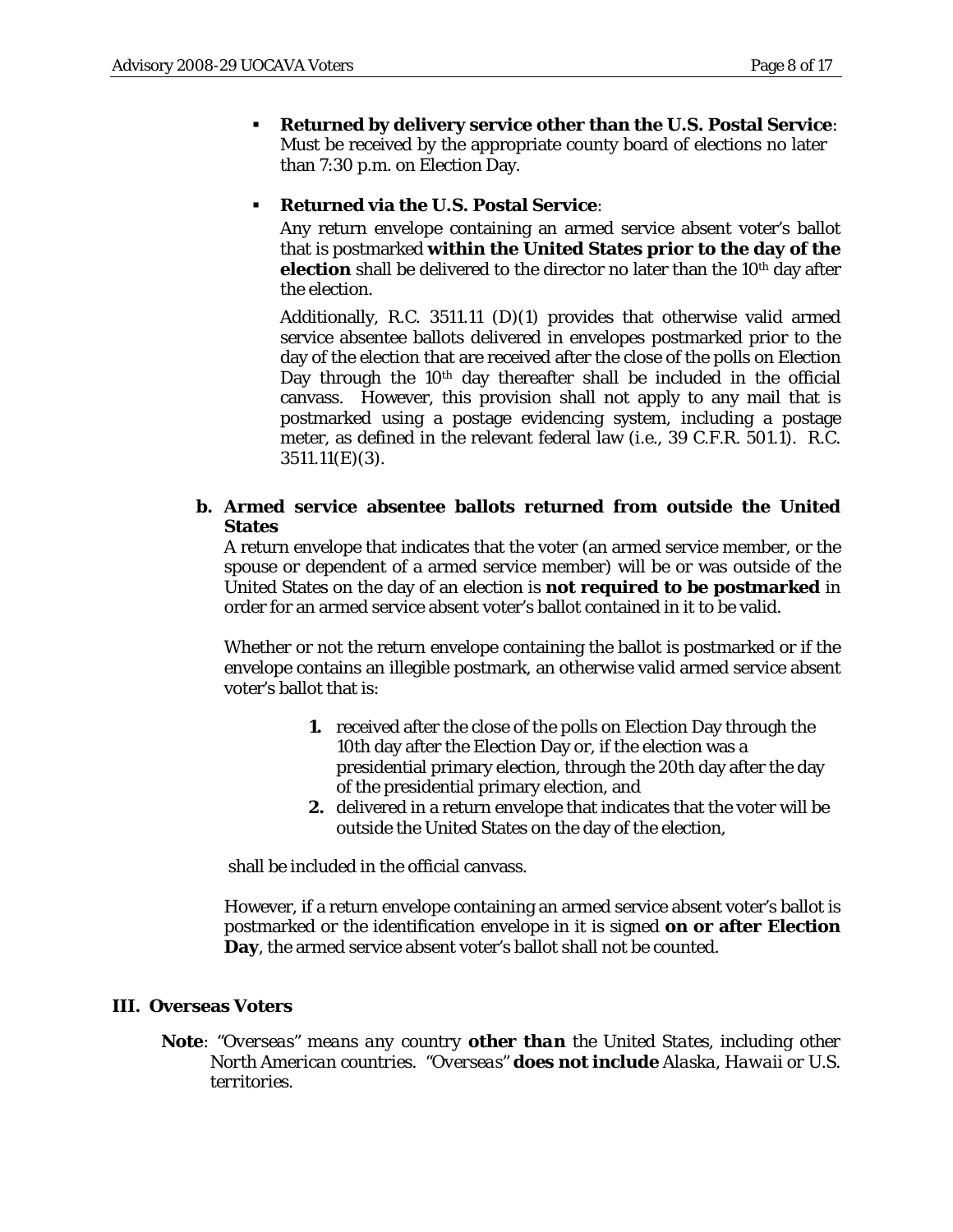- **Returned by delivery service other than the U.S. Postal Service**: Must be received by the appropriate county board of elections no later than 7:30 p.m. on Election Day.
- **Returned via the U.S. Postal Service**:

Any return envelope containing an armed service absent voter's ballot that is postmarked **within the United States prior to the day of the election** shall be delivered to the director no later than the 10<sup>th</sup> day after the election.

Additionally, R.C. 3511.11 (D)(1) provides that otherwise valid armed service absentee ballots delivered in envelopes postmarked prior to the day of the election that are received after the close of the polls on Election Day through the 10<sup>th</sup> day thereafter shall be included in the official canvass. However, this provision shall not apply to any mail that is postmarked using a postage evidencing system, including a postage meter, as defined in the relevant federal law (i.e., 39 C.F.R. 501.1). R.C. 3511.11(E)(3).

## **b. Armed service absentee ballots returned from outside the United States**

A return envelope that indicates that the voter (an armed service member, or the spouse or dependent of a armed service member) will be or was outside of the United States on the day of an election is **not required to be postmarked** in order for an armed service absent voter's ballot contained in it to be valid.

Whether or not the return envelope containing the ballot is postmarked or if the envelope contains an illegible postmark, an otherwise valid armed service absent voter's ballot that is:

- **1.** received after the close of the polls on Election Day through the 10th day after the Election Day or, if the election was a presidential primary election, through the 20th day after the day of the presidential primary election, and
- **2.** delivered in a return envelope that indicates that the voter will be outside the United States on the day of the election,

shall be included in the official canvass.

However, if a return envelope containing an armed service absent voter's ballot is postmarked or the identification envelope in it is signed **on or after Election Day**, the armed service absent voter's ballot shall not be counted.

## **III. Overseas Voters**

**Note***: "Overseas" means any country other than the United States, including other North American countries. "Overseas" does not include Alaska, Hawaii or U.S. territories.*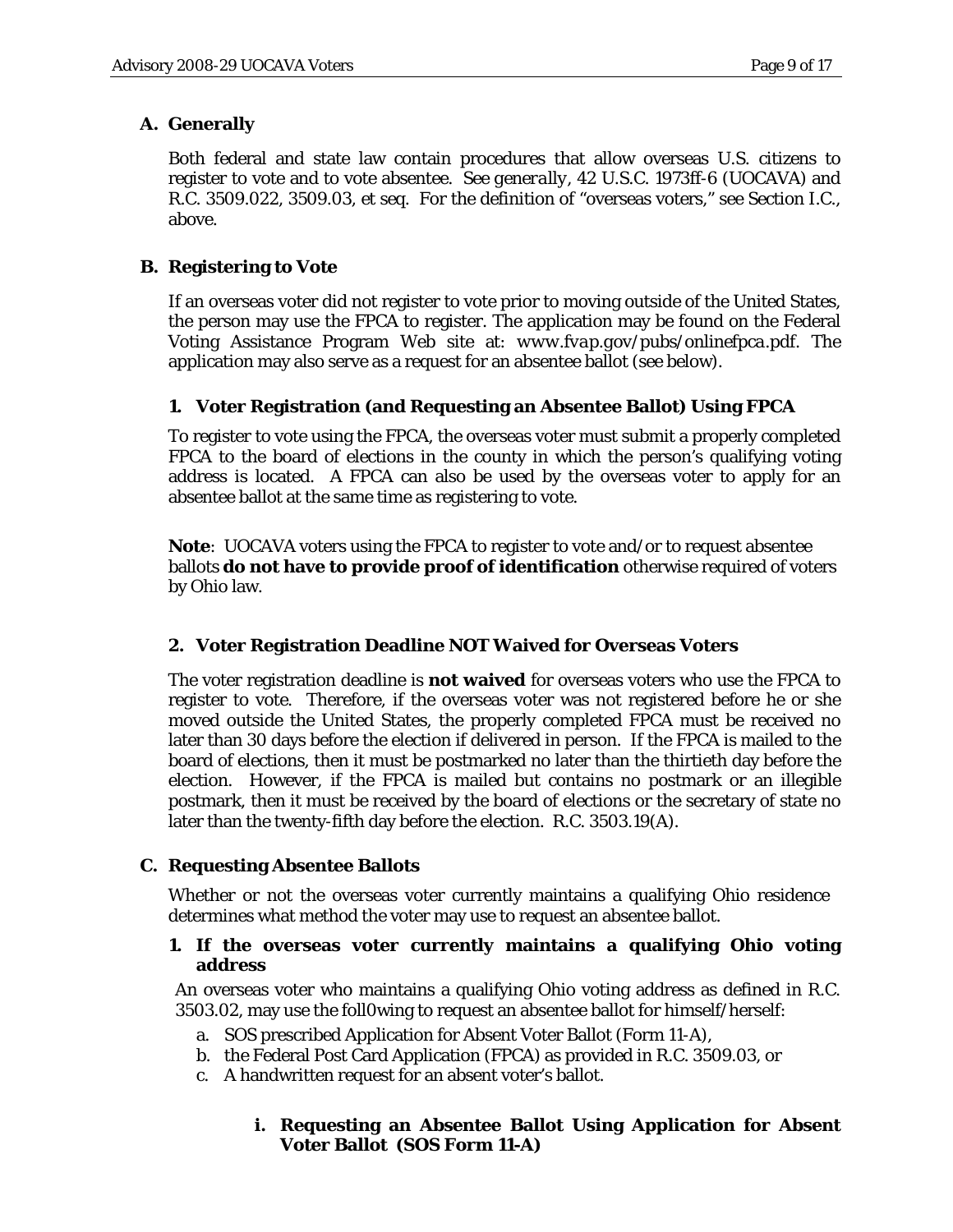# **A. Generally**

Both federal and state law contain procedures that allow overseas U.S. citizens to register to vote and to vote absentee. *See generally*, 42 U.S.C. 1973ff-6 (UOCAVA) and R.C. 3509.022, 3509.03, *et seq*. For the definition of "overseas voters," see Section I.C., above.

# **B. Registering to Vote**

If an overseas voter did not register to vote prior to moving outside of the United States, the person may use the FPCA to register. The application may be found on the Federal Voting Assistance Program Web site at: *www.fvap.gov/pubs/onlinefpca.pdf*. The application may also serve as a request for an absentee ballot (see below).

# **1. Voter Registration (and Requesting an Absentee Ballot) Using FPCA**

To register to vote using the FPCA, the overseas voter must submit a properly completed FPCA to the board of elections in the county in which the person's qualifying voting address is located. A FPCA can also be used by the overseas voter to apply for an absentee ballot at the same time as registering to vote.

**Note**: UOCAVA voters using the FPCA to register to vote and/or to request absentee ballots **do not have to provide proof of identification** otherwise required of voters by Ohio law.

# **2. Voter Registration Deadline NOT Waived for Overseas Voters**

The voter registration deadline is **not waived** for overseas voters who use the FPCA to register to vote. Therefore, if the overseas voter was not registered before he or she moved outside the United States, the properly completed FPCA must be received no later than 30 days before the election if delivered in person. If the FPCA is mailed to the board of elections, then it must be postmarked no later than the thirtieth day before the election. However, if the FPCA is mailed but contains no postmark or an illegible postmark, then it must be received by the board of elections or the secretary of state no later than the twenty-fifth day before the election. R.C. 3503.19(A).

# **C. Requesting Absentee Ballots**

Whether or not the overseas voter currently maintains a qualifying Ohio residence determines what method the voter may use to request an absentee ballot.

# **1. If the overseas voter currently maintains a qualifying Ohio voting address**

An overseas voter who maintains a qualifying Ohio voting address as defined in R.C. 3503.02, may use the foll0wing to request an absentee ballot for himself/herself:

- a. SOS prescribed Application for Absent Voter Ballot (Form 11-A),
- b. the Federal Post Card Application (FPCA) as provided in R.C. 3509.03, or
- c. A handwritten request for an absent voter's ballot.

# **i. Requesting an Absentee Ballot Using Application for Absent Voter Ballot (SOS Form 11-A)**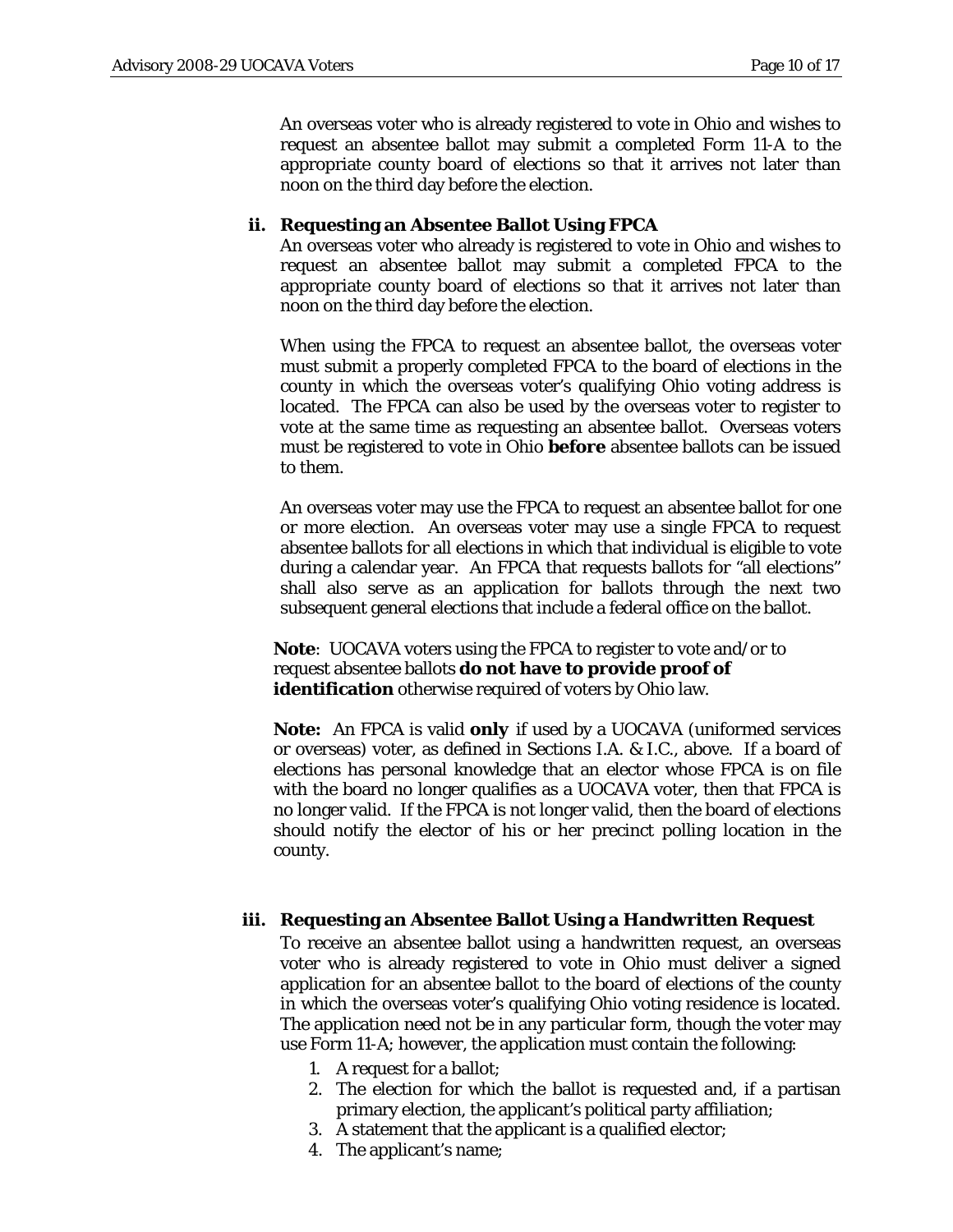An overseas voter who is already registered to vote in Ohio and wishes to request an absentee ballot may submit a completed Form 11-A to the appropriate county board of elections so that it arrives not later than noon on the third day before the election.

#### **ii. Requesting an Absentee Ballot Using FPCA**

An overseas voter who already is registered to vote in Ohio and wishes to request an absentee ballot may submit a completed FPCA to the appropriate county board of elections so that it arrives not later than noon on the third day before the election.

When using the FPCA to request an absentee ballot, the overseas voter must submit a properly completed FPCA to the board of elections in the county in which the overseas voter's qualifying Ohio voting address is located. The FPCA can also be used by the overseas voter to register to vote at the same time as requesting an absentee ballot. Overseas voters must be registered to vote in Ohio **before** absentee ballots can be issued to them.

An overseas voter may use the FPCA to request an absentee ballot for one or more election. An overseas voter may use a single FPCA to request absentee ballots for all elections in which that individual is eligible to vote during a calendar year. An FPCA that requests ballots for "all elections" shall also serve as an application for ballots through the next two subsequent general elections that include a federal office on the ballot.

**Note**: UOCAVA voters using the FPCA to register to vote and/or to request absentee ballots **do not have to provide proof of identification** otherwise required of voters by Ohio law.

**Note:** An FPCA is valid *only* if used by a UOCAVA (uniformed services or overseas) voter, as defined in Sections I.A. & I.C., above. If a board of elections has personal knowledge that an elector whose FPCA is on file with the board no longer qualifies as a UOCAVA voter, then that FPCA is no longer valid. If the FPCA is not longer valid, then the board of elections should notify the elector of his or her precinct polling location in the county.

#### **iii. Requesting an Absentee Ballot Using a Handwritten Request**

To receive an absentee ballot using a handwritten request, an overseas voter who is already registered to vote in Ohio must deliver a signed application for an absentee ballot to the board of elections of the county in which the overseas voter's qualifying Ohio voting residence is located. The application need not be in any particular form, though the voter may use Form 11-A; however, the application must contain the following:

- 1. A request for a ballot;
- 2. The election for which the ballot is requested and, if a partisan primary election, the applicant's political party affiliation;
- 3. A statement that the applicant is a qualified elector;
- 4. The applicant's name;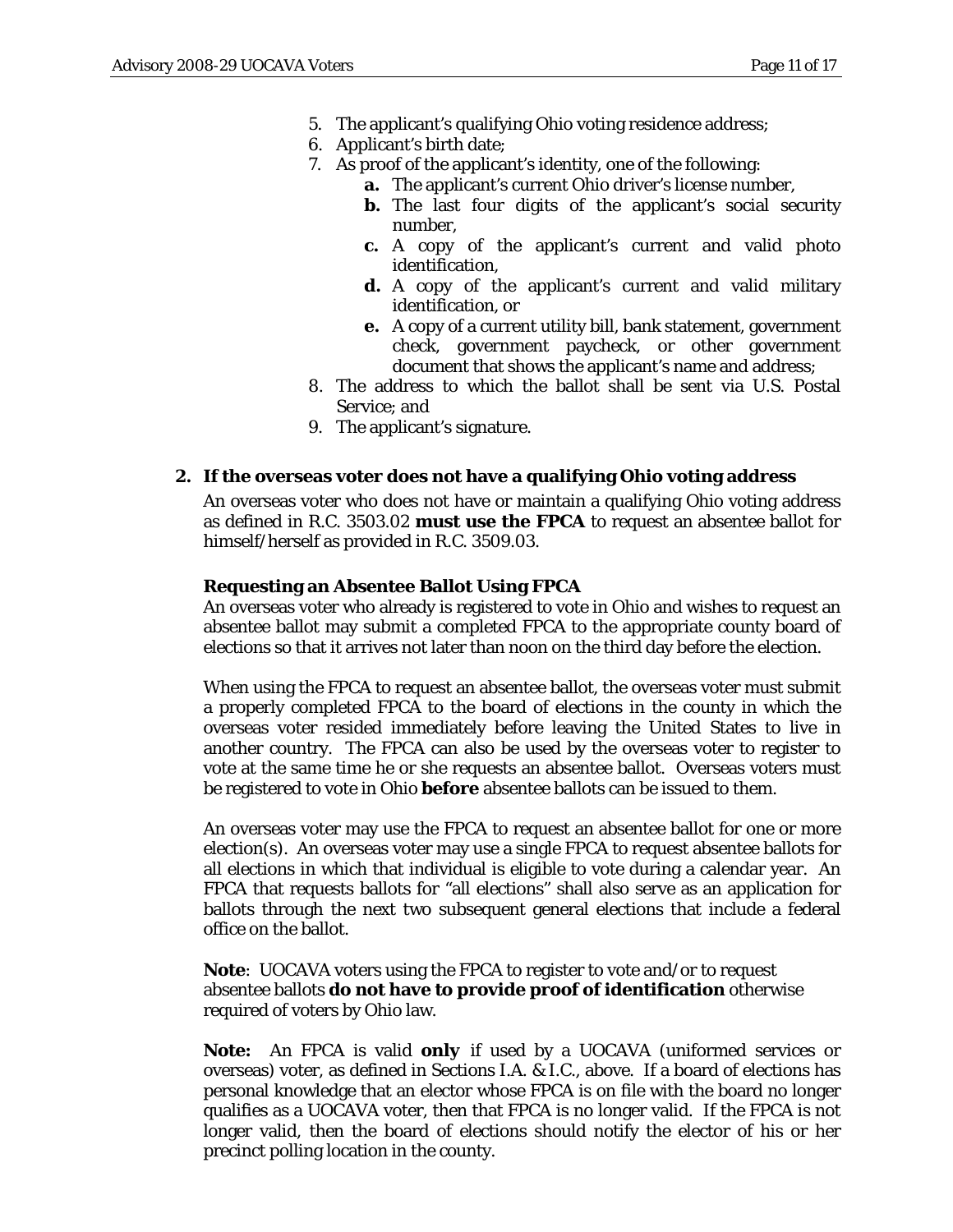- 5. The applicant's qualifying Ohio voting residence address;
- 6. Applicant's birth date;
- 7. As proof of the applicant's identity, one of the following:
	- **a.** The applicant's current Ohio driver's license number,
	- **b.** The last four digits of the applicant's social security number,
	- **c.** A copy of the applicant's current and valid photo identification,
	- **d.** A copy of the applicant's current and valid military identification, or
	- **e.** A copy of a current utility bill, bank statement, government check, government paycheck, or other government document that shows the applicant's name and address;
- 8. The address to which the ballot shall be sent via U.S. Postal Service; and
- 9. The applicant's signature.

#### **2. If the overseas voter does not have a qualifying Ohio voting address**

An overseas voter who does not have or maintain a qualifying Ohio voting address as defined in R.C. 3503.02 **must use the FPCA** to request an absentee ballot for himself/herself as provided in R.C. 3509.03.

#### **Requesting an Absentee Ballot Using FPCA**

An overseas voter who already is registered to vote in Ohio and wishes to request an absentee ballot may submit a completed FPCA to the appropriate county board of elections so that it arrives not later than noon on the third day before the election.

When using the FPCA to request an absentee ballot, the overseas voter must submit a properly completed FPCA to the board of elections in the county in which the overseas voter resided immediately before leaving the United States to live in another country. The FPCA can also be used by the overseas voter to register to vote at the same time he or she requests an absentee ballot. Overseas voters must be registered to vote in Ohio **before** absentee ballots can be issued to them.

An overseas voter may use the FPCA to request an absentee ballot for one or more election(s). An overseas voter may use a single FPCA to request absentee ballots for all elections in which that individual is eligible to vote during a calendar year. An FPCA that requests ballots for "all elections" shall also serve as an application for ballots through the next two subsequent general elections that include a federal office on the ballot.

**Note**: UOCAVA voters using the FPCA to register to vote and/or to request absentee ballots **do not have to provide proof of identification** otherwise required of voters by Ohio law.

**Note:** An FPCA is valid *only* if used by a UOCAVA (uniformed services or overseas) voter, as defined in Sections I.A. & I.C., above. If a board of elections has personal knowledge that an elector whose FPCA is on file with the board no longer qualifies as a UOCAVA voter, then that FPCA is no longer valid. If the FPCA is not longer valid, then the board of elections should notify the elector of his or her precinct polling location in the county.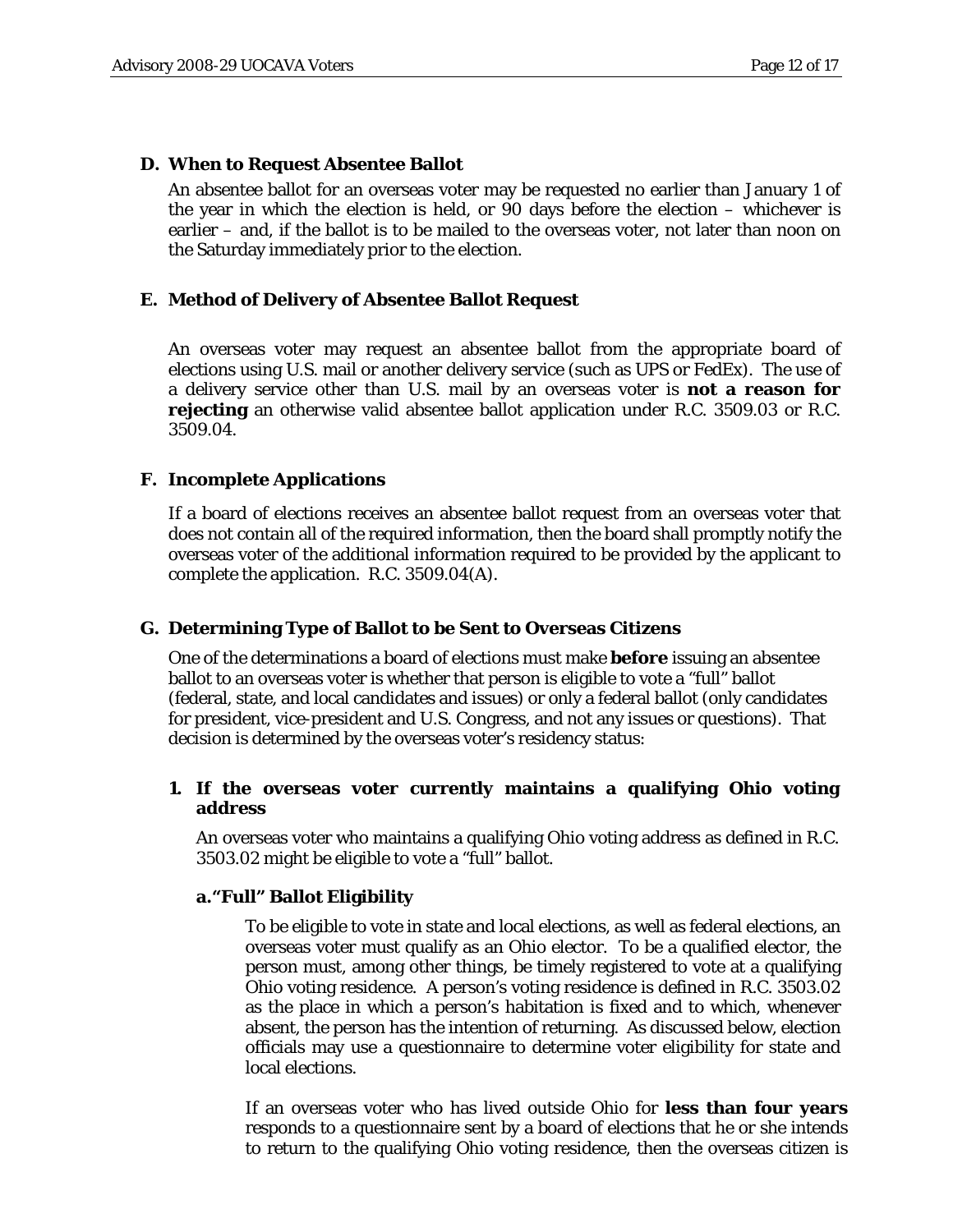### **D. When to Request Absentee Ballot**

An absentee ballot for an overseas voter may be requested no earlier than January 1 of the year in which the election is held, or 90 days before the election – whichever is earlier – and, if the ballot is to be mailed to the overseas voter, not later than noon on the Saturday immediately prior to the election.

### **E. Method of Delivery of Absentee Ballot Request**

An overseas voter may request an absentee ballot from the appropriate board of elections using U.S. mail or another delivery service (such as UPS or FedEx). The use of a delivery service other than U.S. mail by an overseas voter is **not a reason for rejecting** an otherwise valid absentee ballot application under R.C. 3509.03 or R.C. 3509.04.

### **F. Incomplete Applications**

If a board of elections receives an absentee ballot request from an overseas voter that does not contain all of the required information, then the board shall promptly notify the overseas voter of the additional information required to be provided by the applicant to complete the application. R.C. 3509.04(A).

#### **G. Determining Type of Ballot to be Sent to Overseas Citizens**

One of the determinations a board of elections must make **before** issuing an absentee ballot to an overseas voter is whether that person is eligible to vote a "full" ballot (federal, state, and local candidates and issues) or only a federal ballot (only candidates for president, vice-president and U.S. Congress, and not any issues or questions). That decision is determined by the overseas voter's residency status:

### **1. If the overseas voter currently maintains a qualifying Ohio voting address**

An overseas voter who maintains a qualifying Ohio voting address as defined in R.C. 3503.02 might be eligible to vote a "full" ballot.

#### **a."Full" Ballot Eligibility**

To be eligible to vote in state and local elections, as well as federal elections, an overseas voter must qualify as an Ohio elector. To be a qualified elector, the person must, among other things, be timely registered to vote at a qualifying Ohio voting residence. A person's voting residence is defined in R.C. 3503.02 as the place in which a person's habitation is fixed and to which, whenever absent, the person has the intention of returning. As discussed below, election officials may use a questionnaire to determine voter eligibility for state and local elections.

If an overseas voter who has lived outside Ohio for **less than four years** responds to a questionnaire sent by a board of elections that he or she intends to return to the qualifying Ohio voting residence, then the overseas citizen is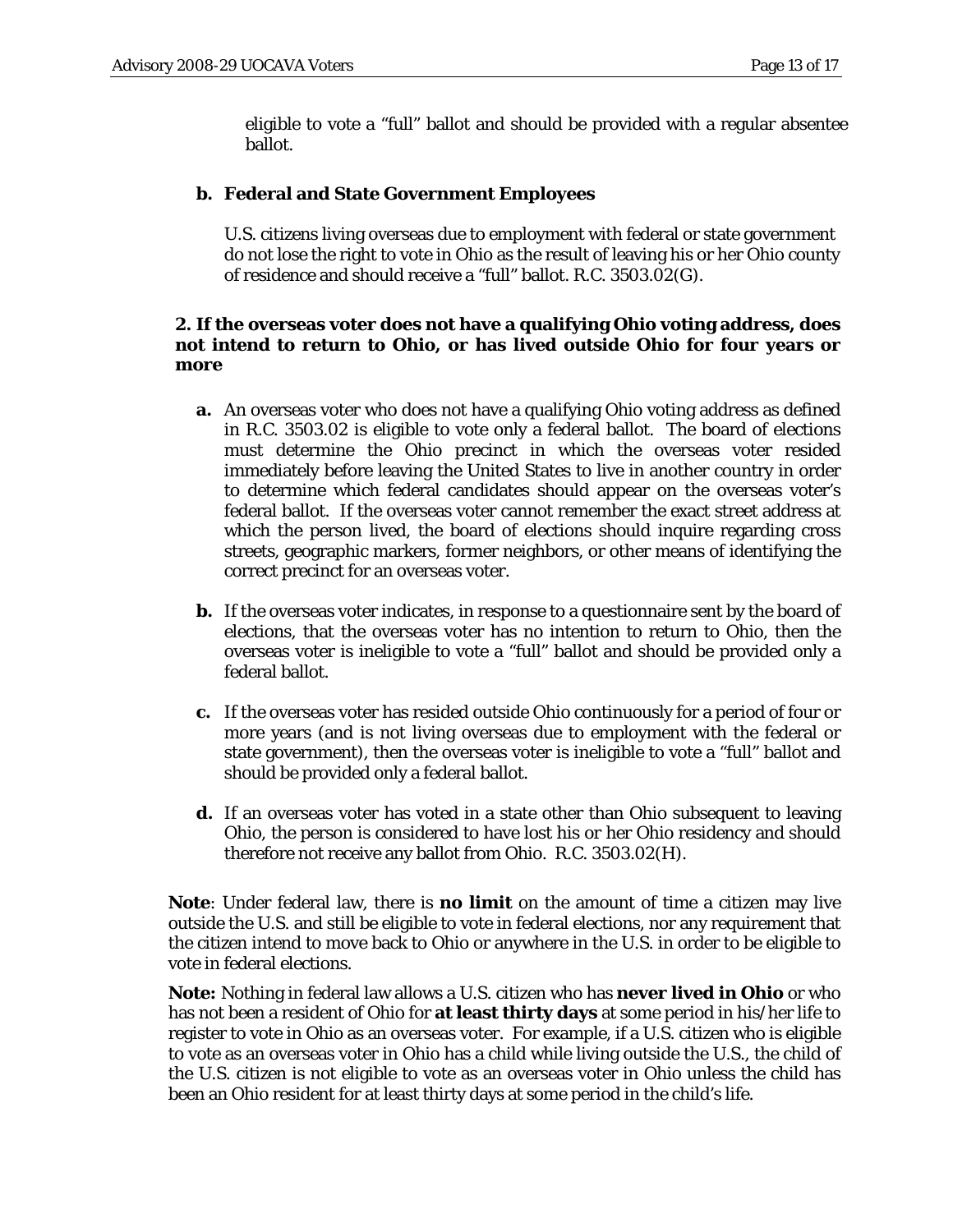eligible to vote a "full" ballot and should be provided with a regular absentee ballot.

### **b. Federal and State Government Employees**

U.S. citizens living overseas due to employment with federal or state government do not lose the right to vote in Ohio as the result of leaving his or her Ohio county of residence and should receive a "full" ballot. R.C. 3503.02(G).

### **2. If the overseas voter does not have a qualifying Ohio voting address, does not intend to return to Ohio, or has lived outside Ohio for four years or more**

- **a.** An overseas voter who does not have a qualifying Ohio voting address as defined in R.C. 3503.02 is eligible to vote only a federal ballot. The board of elections must determine the Ohio precinct in which the overseas voter resided immediately before leaving the United States to live in another country in order to determine which federal candidates should appear on the overseas voter's federal ballot. If the overseas voter cannot remember the exact street address at which the person lived, the board of elections should inquire regarding cross streets, geographic markers, former neighbors, or other means of identifying the correct precinct for an overseas voter.
- **b.** If the overseas voter indicates, in response to a questionnaire sent by the board of elections, that the overseas voter has no intention to return to Ohio, then the overseas voter is ineligible to vote a "full" ballot and should be provided only a federal ballot.
- **c.** If the overseas voter has resided outside Ohio continuously for a period of four or more years (and is not living overseas due to employment with the federal or state government), then the overseas voter is ineligible to vote a "full" ballot and should be provided only a federal ballot.
- **d.** If an overseas voter has voted in a state other than Ohio subsequent to leaving Ohio, the person is considered to have lost his or her Ohio residency and should therefore not receive any ballot from Ohio. R.C. 3503.02(H).

**Note**: Under federal law, there is **no limit** on the amount of time a citizen may live outside the U.S. and still be eligible to vote in federal elections, nor any requirement that the citizen intend to move back to Ohio or anywhere in the U.S. in order to be eligible to vote in federal elections.

**Note:** Nothing in federal law allows a U.S. citizen who has **never lived in Ohio** or who has not been a resident of Ohio for **at least thirty days** at some period in his/her life to register to vote in Ohio as an overseas voter. For example, if a U.S. citizen who is eligible to vote as an overseas voter in Ohio has a child while living outside the U.S., the child of the U.S. citizen is not eligible to vote as an overseas voter in Ohio unless the child has been an Ohio resident for at least thirty days at some period in the child's life.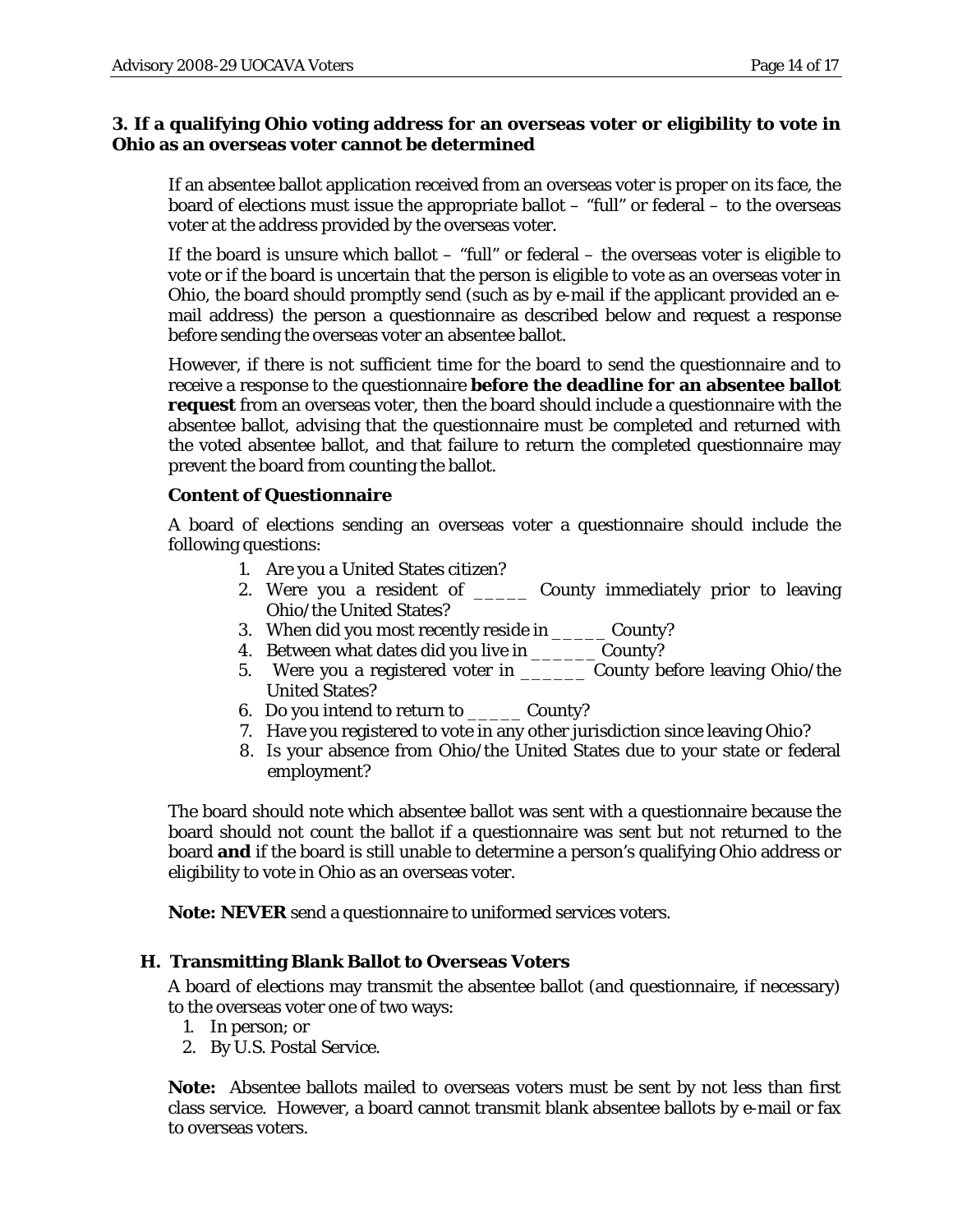### **3. If a qualifying Ohio voting address for an overseas voter or eligibility to vote in Ohio as an overseas voter cannot be determined**

If an absentee ballot application received from an overseas voter is proper on its face, the board of elections must issue the appropriate ballot – "full" or federal – to the overseas voter at the address provided by the overseas voter.

If the board is unsure which ballot  $-$  "full" or federal  $-$  the overseas voter is eligible to vote or if the board is uncertain that the person is eligible to vote as an overseas voter in Ohio, the board should promptly send (such as by e-mail if the applicant provided an email address) the person a questionnaire as described below and request a response before sending the overseas voter an absentee ballot.

However, if there is not sufficient time for the board to send the questionnaire and to receive a response to the questionnaire **before the deadline for an absentee ballot request** from an overseas voter, then the board should include a questionnaire with the absentee ballot, advising that the questionnaire must be completed and returned with the voted absentee ballot, and that failure to return the completed questionnaire may prevent the board from counting the ballot.

### **Content of Questionnaire**

A board of elections sending an overseas voter a questionnaire should include the following questions:

- 1. Are you a United States citizen?
- 2. Were you a resident of \_\_\_\_\_ County immediately prior to leaving Ohio/the United States?
- 3. When did you most recently reside in \_\_\_\_\_ County?
- 4. Between what dates did you live in \_\_\_\_\_\_ County?
- 5. Were you a registered voter in \_\_\_\_\_\_ County before leaving Ohio/the United States?
- 6. Do you intend to return to \_\_\_\_\_ County?
- 7. Have you registered to vote in any other jurisdiction since leaving Ohio?
- 8. Is your absence from Ohio/the United States due to your state or federal employment?

The board should note which absentee ballot was sent with a questionnaire because the board should not count the ballot if a questionnaire was sent but not returned to the board **and** if the board is still unable to determine a person's qualifying Ohio address or eligibility to vote in Ohio as an overseas voter.

**Note: NEVER** send a questionnaire to uniformed services voters.

#### **H. Transmitting Blank Ballot to Overseas Voters**

A board of elections may transmit the absentee ballot (and questionnaire, if necessary) to the overseas voter one of two ways:

- 1. In person; or
- 2. By U.S. Postal Service.

**Note:** Absentee ballots mailed to overseas voters must be sent by not less than first class service. However, a board cannot transmit blank absentee ballots by e-mail or fax to overseas voters.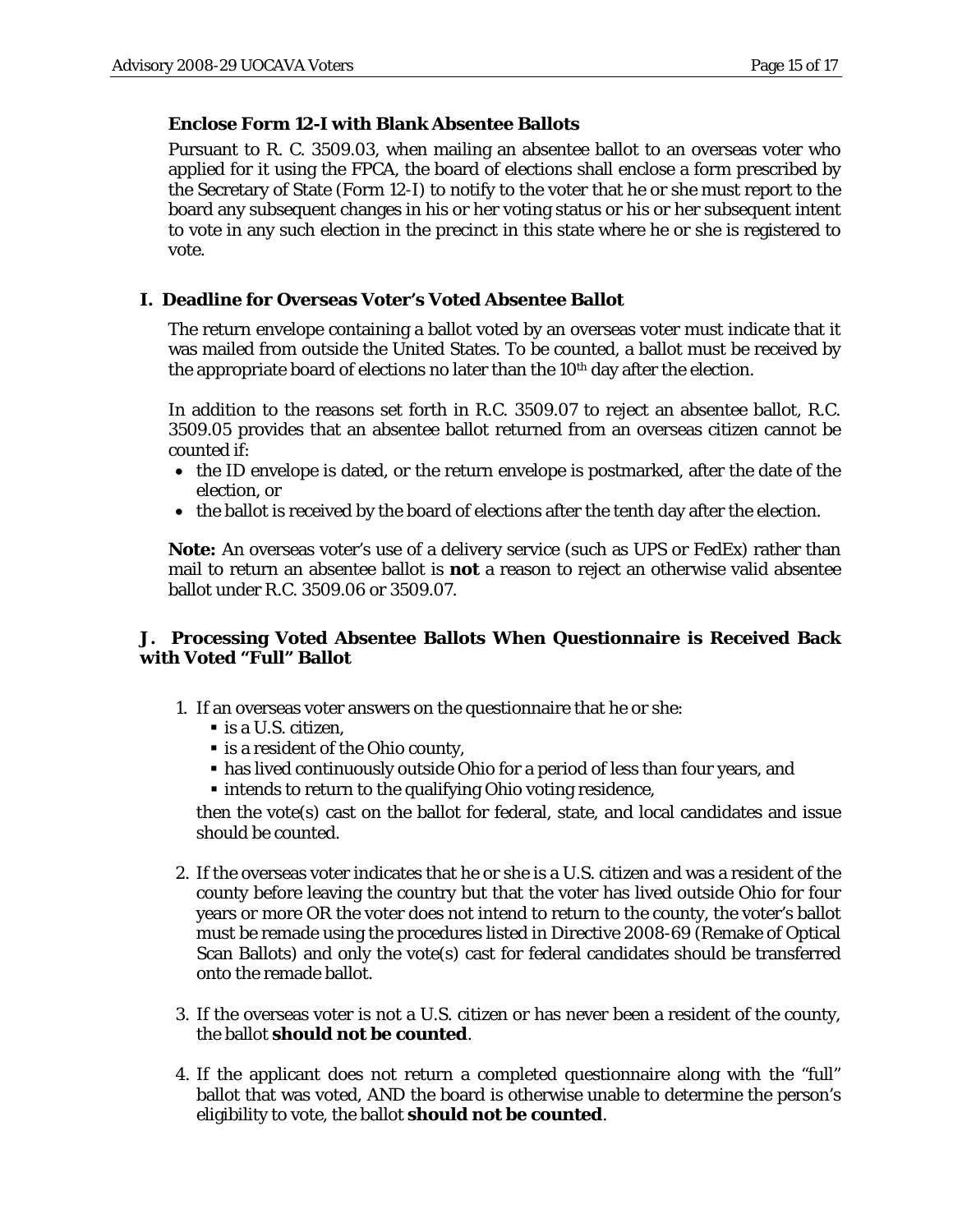## **Enclose Form 12-I with Blank Absentee Ballots**

Pursuant to R. C. 3509.03, when mailing an absentee ballot to an overseas voter who applied for it using the FPCA, the board of elections shall enclose a form prescribed by the Secretary of State (Form 12-I) to notify to the voter that he or she must report to the board any subsequent changes in his or her voting status or his or her subsequent intent to vote in any such election in the precinct in this state where he or she is registered to vote.

# **I. Deadline for Overseas Voter's Voted Absentee Ballot**

The return envelope containing a ballot voted by an overseas voter must indicate that it was mailed from outside the United States. To be counted, a ballot must be received by the appropriate board of elections no later than the  $10<sup>th</sup>$  day after the election.

In addition to the reasons set forth in R.C. 3509.07 to reject an absentee ballot, R.C. 3509.05 provides that an absentee ballot returned from an overseas citizen cannot be counted if:

- the ID envelope is dated, or the return envelope is postmarked, after the date of the election, or
- the ballot is received by the board of elections after the tenth day after the election.

**Note:** An overseas voter's use of a delivery service (such as UPS or FedEx) rather than mail to return an absentee ballot is **not** a reason to reject an otherwise valid absentee ballot under R.C. 3509.06 or 3509.07.

## **J. Processing Voted Absentee Ballots When Questionnaire is Received Back with Voted "Full" Ballot**

- 1. If an overseas voter answers on the questionnaire that he or she:
	- is a U.S. citizen,
	- **Exercise 1** is a resident of the Ohio county,
	- has lived continuously outside Ohio for a period of less than four years, and
	- **Intends to return to the qualifying Ohio voting residence,**

then the vote(s) cast on the ballot for federal, state, and local candidates and issue should be counted.

- 2. If the overseas voter indicates that he or she is a U.S. citizen and was a resident of the county before leaving the country but that the voter has lived outside Ohio for four years or more OR the voter does not intend to return to the county, the voter's ballot must be remade using the procedures listed in Directive 2008-69 (Remake of Optical Scan Ballots) and only the vote(s) cast for federal candidates should be transferred onto the remade ballot.
- 3. If the overseas voter is not a U.S. citizen or has never been a resident of the county, the ballot **should not be counted**.
- 4. If the applicant does not return a completed questionnaire along with the "full" ballot that was voted, AND the board is otherwise unable to determine the person's eligibility to vote, the ballot **should not be counted**.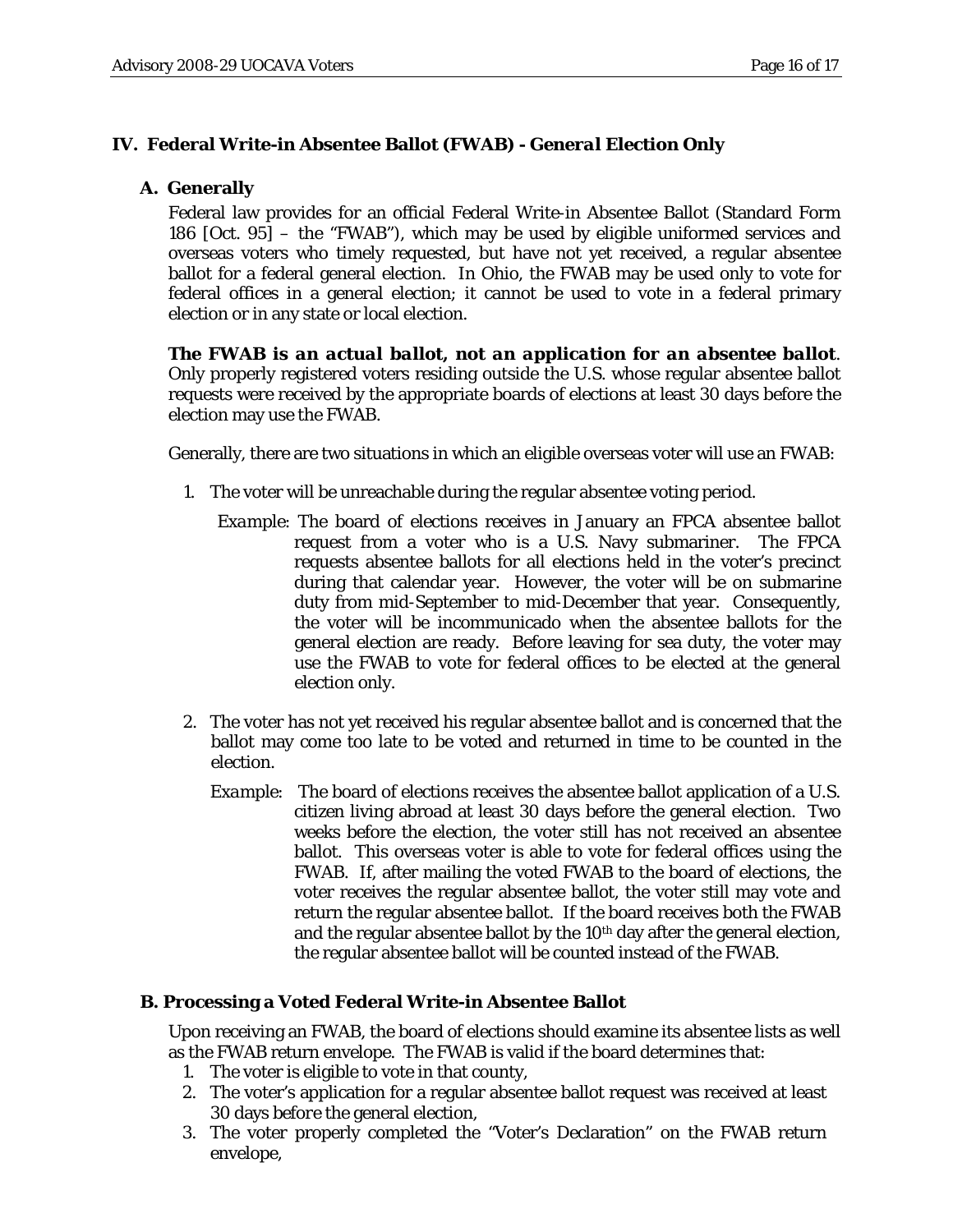## **IV. Federal Write-in Absentee Ballot (***FWAB***) -** *General Election Only*

## **A. Generally**

Federal law provides for an official Federal Write-in Absentee Ballot (Standard Form 186 [Oct. 95] – the "FWAB"), which may be used by eligible uniformed services and overseas voters who timely requested, but have not yet received, a regular absentee ballot for a federal general election. In Ohio, the FWAB may be used only to vote for federal offices in a general election; it cannot be used to vote in a federal primary election or in any state or local election.

*The FWAB is an actual ballot, not an application for an absentee ballot*. Only properly registered voters residing outside the U.S. whose regular absentee ballot requests were received by the appropriate boards of elections at least 30 days before the election may use the FWAB.

Generally, there are two situations in which an eligible overseas voter will use an FWAB:

- 1. The voter will be unreachable during the regular absentee voting period.
	- *Example*: The board of elections receives in January an FPCA absentee ballot request from a voter who is a U.S. Navy submariner. The FPCA requests absentee ballots for all elections held in the voter's precinct during that calendar year. However, the voter will be on submarine duty from mid-September to mid-December that year. Consequently, the voter will be incommunicado when the absentee ballots for the general election are ready. Before leaving for sea duty, the voter may use the FWAB to vote for federal offices to be elected at the general election only.
- 2. The voter has not yet received his regular absentee ballot and is concerned that the ballot may come too late to be voted and returned in time to be counted in the election.
	- *Example:* The board of elections receives the absentee ballot application of a U.S. citizen living abroad at least 30 days before the general election. Two weeks before the election, the voter still has not received an absentee ballot. This overseas voter is able to vote for federal offices using the FWAB. If, after mailing the voted FWAB to the board of elections, the voter receives the regular absentee ballot, the voter still may vote and return the regular absentee ballot. If the board receives both the FWAB and the regular absentee ballot by the 10<sup>th</sup> day after the general election, the regular absentee ballot will be counted instead of the FWAB.

## **B. Processing a Voted Federal Write-in Absentee Ballot**

Upon receiving an FWAB, the board of elections should examine its absentee lists as well as the FWAB return envelope. The FWAB is valid if the board determines that:

- 1. The voter is eligible to vote in that county,
- 2. The voter's application for a regular absentee ballot request was received at least 30 days *before* the general election,
- 3. The voter properly completed the "Voter's Declaration" on the *FWAB* return envelope,